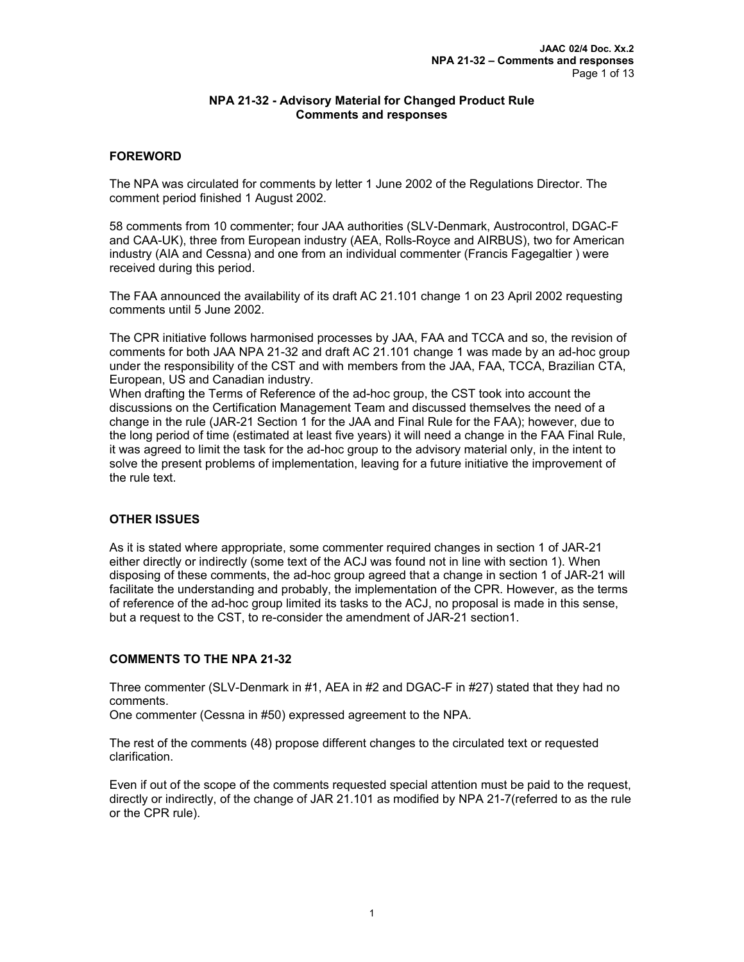## **NPA 21-32 - Advisory Material for Changed Product Rule Comments and responses**

# **FOREWORD**

The NPA was circulated for comments by letter 1 June 2002 of the Regulations Director. The comment period finished 1 August 2002.

58 comments from 10 commenter; four JAA authorities (SLV-Denmark, Austrocontrol, DGAC-F and CAA-UK), three from European industry (AEA, Rolls-Royce and AIRBUS), two for American industry (AIA and Cessna) and one from an individual commenter (Francis Fagegaltier ) were received during this period.

The FAA announced the availability of its draft AC 21.101 change 1 on 23 April 2002 requesting comments until 5 June 2002.

The CPR initiative follows harmonised processes by JAA, FAA and TCCA and so, the revision of comments for both JAA NPA 21-32 and draft AC 21.101 change 1 was made by an ad-hoc group under the responsibility of the CST and with members from the JAA, FAA, TCCA, Brazilian CTA, European, US and Canadian industry.

When drafting the Terms of Reference of the ad-hoc group, the CST took into account the discussions on the Certification Management Team and discussed themselves the need of a change in the rule (JAR-21 Section 1 for the JAA and Final Rule for the FAA); however, due to the long period of time (estimated at least five years) it will need a change in the FAA Final Rule, it was agreed to limit the task for the ad-hoc group to the advisory material only, in the intent to solve the present problems of implementation, leaving for a future initiative the improvement of the rule text.

# **OTHER ISSUES**

As it is stated where appropriate, some commenter required changes in section 1 of JAR-21 either directly or indirectly (some text of the ACJ was found not in line with section 1). When disposing of these comments, the ad-hoc group agreed that a change in section 1 of JAR-21 will facilitate the understanding and probably, the implementation of the CPR. However, as the terms of reference of the ad-hoc group limited its tasks to the ACJ, no proposal is made in this sense, but a request to the CST, to re-consider the amendment of JAR-21 section1.

# **COMMENTS TO THE NPA 21-32**

Three commenter (SLV-Denmark in #1, AEA in #2 and DGAC-F in #27) stated that they had no comments.

One commenter (Cessna in #50) expressed agreement to the NPA.

The rest of the comments (48) propose different changes to the circulated text or requested clarification.

Even if out of the scope of the comments requested special attention must be paid to the request, directly or indirectly, of the change of JAR 21.101 as modified by NPA 21-7(referred to as the rule or the CPR rule).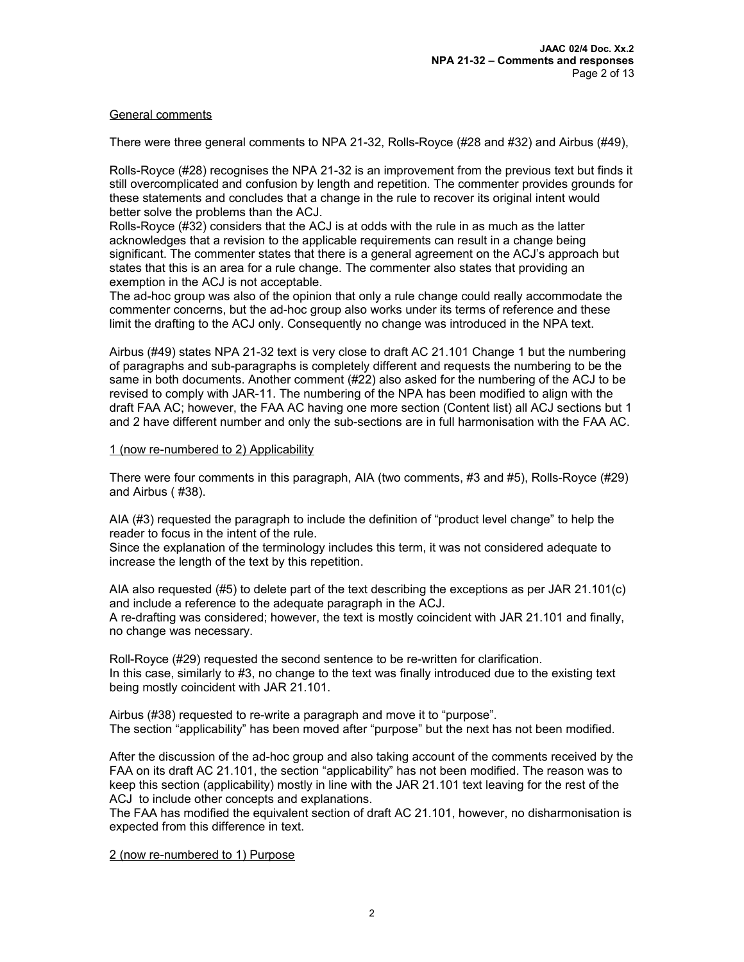## General comments

There were three general comments to NPA 21-32, Rolls-Royce (#28 and #32) and Airbus (#49),

Rolls-Royce (#28) recognises the NPA 21-32 is an improvement from the previous text but finds it still overcomplicated and confusion by length and repetition. The commenter provides grounds for these statements and concludes that a change in the rule to recover its original intent would better solve the problems than the ACJ.

Rolls-Royce (#32) considers that the ACJ is at odds with the rule in as much as the latter acknowledges that a revision to the applicable requirements can result in a change being significant. The commenter states that there is a general agreement on the ACJ's approach but states that this is an area for a rule change. The commenter also states that providing an exemption in the ACJ is not acceptable.

The ad-hoc group was also of the opinion that only a rule change could really accommodate the commenter concerns, but the ad-hoc group also works under its terms of reference and these limit the drafting to the ACJ only. Consequently no change was introduced in the NPA text.

Airbus (#49) states NPA 21-32 text is very close to draft AC 21.101 Change 1 but the numbering of paragraphs and sub-paragraphs is completely different and requests the numbering to be the same in both documents. Another comment (#22) also asked for the numbering of the ACJ to be revised to comply with JAR-11. The numbering of the NPA has been modified to align with the draft FAA AC; however, the FAA AC having one more section (Content list) all ACJ sections but 1 and 2 have different number and only the sub-sections are in full harmonisation with the FAA AC.

## 1 (now re-numbered to 2) Applicability

There were four comments in this paragraph, AIA (two comments, #3 and #5), Rolls-Royce (#29) and Airbus ( #38).

AIA (#3) requested the paragraph to include the definition of "product level change" to help the reader to focus in the intent of the rule.

Since the explanation of the terminology includes this term, it was not considered adequate to increase the length of the text by this repetition.

AIA also requested (#5) to delete part of the text describing the exceptions as per JAR 21.101(c) and include a reference to the adequate paragraph in the ACJ.

A re-drafting was considered; however, the text is mostly coincident with JAR 21.101 and finally, no change was necessary.

Roll-Royce (#29) requested the second sentence to be re-written for clarification. In this case, similarly to #3, no change to the text was finally introduced due to the existing text being mostly coincident with JAR 21.101.

Airbus (#38) requested to re-write a paragraph and move it to "purpose". The section "applicability" has been moved after "purpose" but the next has not been modified.

After the discussion of the ad-hoc group and also taking account of the comments received by the FAA on its draft AC 21.101, the section "applicability" has not been modified. The reason was to keep this section (applicability) mostly in line with the JAR 21.101 text leaving for the rest of the ACJ to include other concepts and explanations.

The FAA has modified the equivalent section of draft AC 21.101, however, no disharmonisation is expected from this difference in text.

## 2 (now re-numbered to 1) Purpose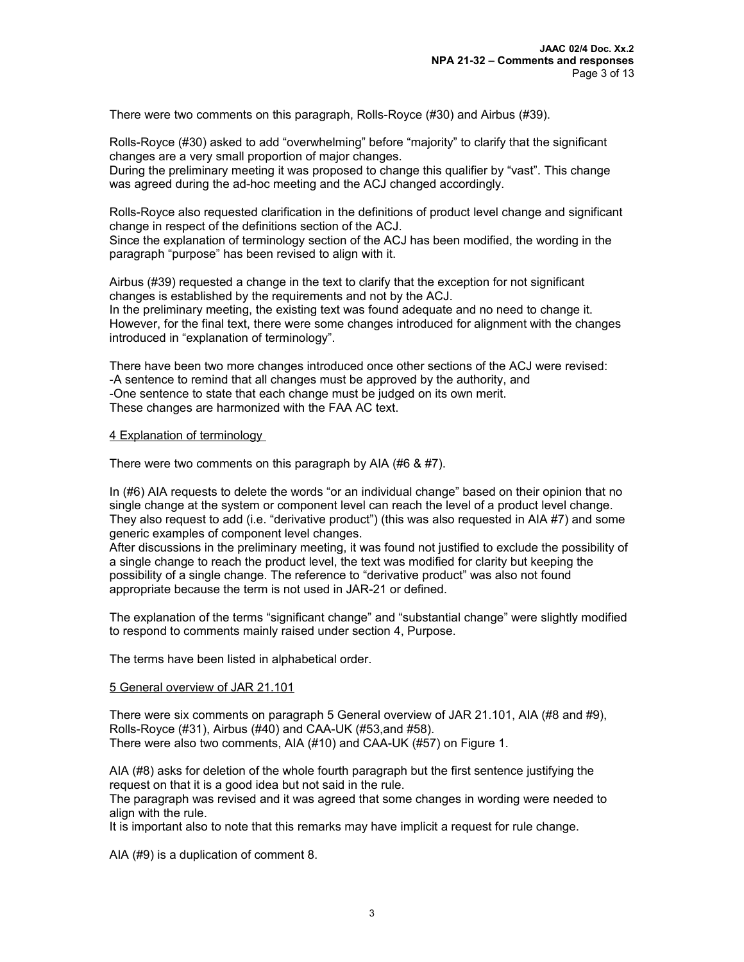There were two comments on this paragraph, Rolls-Royce (#30) and Airbus (#39).

Rolls-Royce (#30) asked to add "overwhelming" before "majority" to clarify that the significant changes are a very small proportion of major changes.

During the preliminary meeting it was proposed to change this qualifier by "vast". This change was agreed during the ad-hoc meeting and the ACJ changed accordingly.

Rolls-Royce also requested clarification in the definitions of product level change and significant change in respect of the definitions section of the ACJ.

Since the explanation of terminology section of the ACJ has been modified, the wording in the paragraph "purpose" has been revised to align with it.

Airbus (#39) requested a change in the text to clarify that the exception for not significant changes is established by the requirements and not by the ACJ. In the preliminary meeting, the existing text was found adequate and no need to change it. However, for the final text, there were some changes introduced for alignment with the changes introduced in "explanation of terminology".

There have been two more changes introduced once other sections of the ACJ were revised: -A sentence to remind that all changes must be approved by the authority, and -One sentence to state that each change must be judged on its own merit. These changes are harmonized with the FAA AC text.

#### 4 Explanation of terminology

There were two comments on this paragraph by AIA (#6 & #7).

In (#6) AIA requests to delete the words "or an individual change" based on their opinion that no single change at the system or component level can reach the level of a product level change. They also request to add (i.e. "derivative product") (this was also requested in AIA #7) and some generic examples of component level changes.

After discussions in the preliminary meeting, it was found not justified to exclude the possibility of a single change to reach the product level, the text was modified for clarity but keeping the possibility of a single change. The reference to "derivative product" was also not found appropriate because the term is not used in JAR-21 or defined.

The explanation of the terms "significant change" and "substantial change" were slightly modified to respond to comments mainly raised under section 4, Purpose.

The terms have been listed in alphabetical order.

#### 5 General overview of JAR 21.101

There were six comments on paragraph 5 General overview of JAR 21.101, AIA (#8 and #9), Rolls-Royce (#31), Airbus (#40) and CAA-UK (#53,and #58). There were also two comments, AIA (#10) and CAA-UK (#57) on Figure 1.

AIA (#8) asks for deletion of the whole fourth paragraph but the first sentence justifying the request on that it is a good idea but not said in the rule.

The paragraph was revised and it was agreed that some changes in wording were needed to align with the rule.

It is important also to note that this remarks may have implicit a request for rule change.

AIA (#9) is a duplication of comment 8.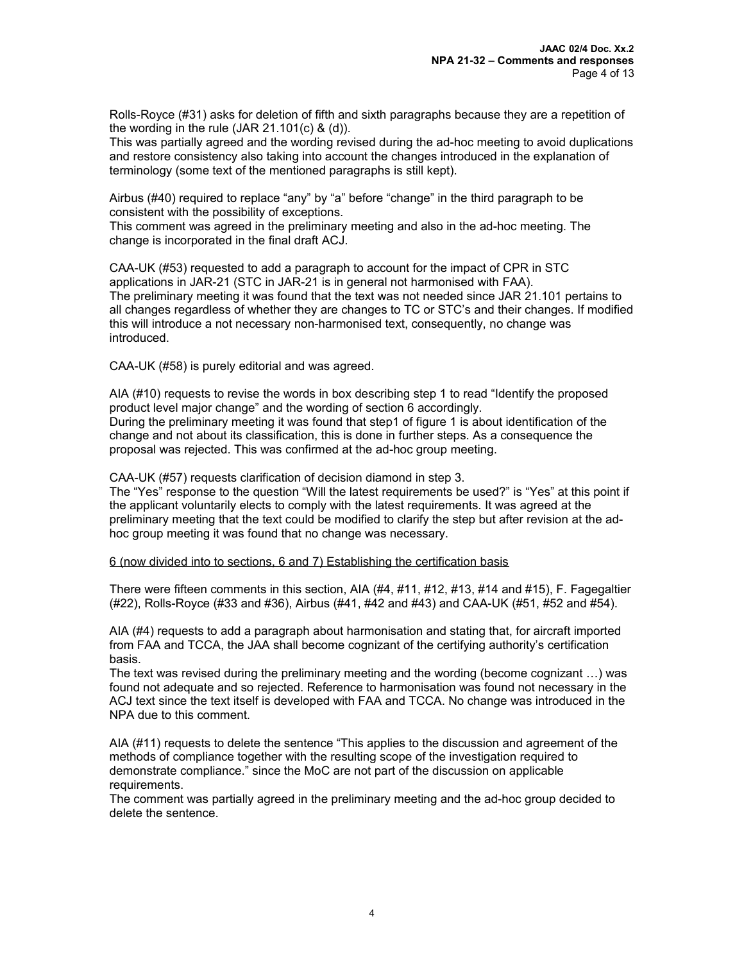Rolls-Royce (#31) asks for deletion of fifth and sixth paragraphs because they are a repetition of the wording in the rule  $(JAR 21.101(c) \& (d))$ .

This was partially agreed and the wording revised during the ad-hoc meeting to avoid duplications and restore consistency also taking into account the changes introduced in the explanation of terminology (some text of the mentioned paragraphs is still kept).

Airbus (#40) required to replace "any" by "a" before "change" in the third paragraph to be consistent with the possibility of exceptions.

This comment was agreed in the preliminary meeting and also in the ad-hoc meeting. The change is incorporated in the final draft ACJ.

CAA-UK (#53) requested to add a paragraph to account for the impact of CPR in STC applications in JAR-21 (STC in JAR-21 is in general not harmonised with FAA). The preliminary meeting it was found that the text was not needed since JAR 21.101 pertains to all changes regardless of whether they are changes to TC or STC's and their changes. If modified this will introduce a not necessary non-harmonised text, consequently, no change was introduced.

CAA-UK (#58) is purely editorial and was agreed.

AIA (#10) requests to revise the words in box describing step 1 to read "Identify the proposed product level major change" and the wording of section 6 accordingly. During the preliminary meeting it was found that step1 of figure 1 is about identification of the change and not about its classification, this is done in further steps. As a consequence the proposal was rejected. This was confirmed at the ad-hoc group meeting.

CAA-UK (#57) requests clarification of decision diamond in step 3.

The "Yes" response to the question "Will the latest requirements be used?" is "Yes" at this point if the applicant voluntarily elects to comply with the latest requirements. It was agreed at the preliminary meeting that the text could be modified to clarify the step but after revision at the adhoc group meeting it was found that no change was necessary.

## 6 (now divided into to sections, 6 and 7) Establishing the certification basis

There were fifteen comments in this section, AIA (#4, #11, #12, #13, #14 and #15), F. Fagegaltier (#22), Rolls-Royce (#33 and #36), Airbus (#41, #42 and #43) and CAA-UK (#51, #52 and #54).

AIA (#4) requests to add a paragraph about harmonisation and stating that, for aircraft imported from FAA and TCCA, the JAA shall become cognizant of the certifying authority's certification basis.

The text was revised during the preliminary meeting and the wording (become cognizant …) was found not adequate and so rejected. Reference to harmonisation was found not necessary in the ACJ text since the text itself is developed with FAA and TCCA. No change was introduced in the NPA due to this comment.

AIA (#11) requests to delete the sentence "This applies to the discussion and agreement of the methods of compliance together with the resulting scope of the investigation required to demonstrate compliance." since the MoC are not part of the discussion on applicable requirements.

The comment was partially agreed in the preliminary meeting and the ad-hoc group decided to delete the sentence.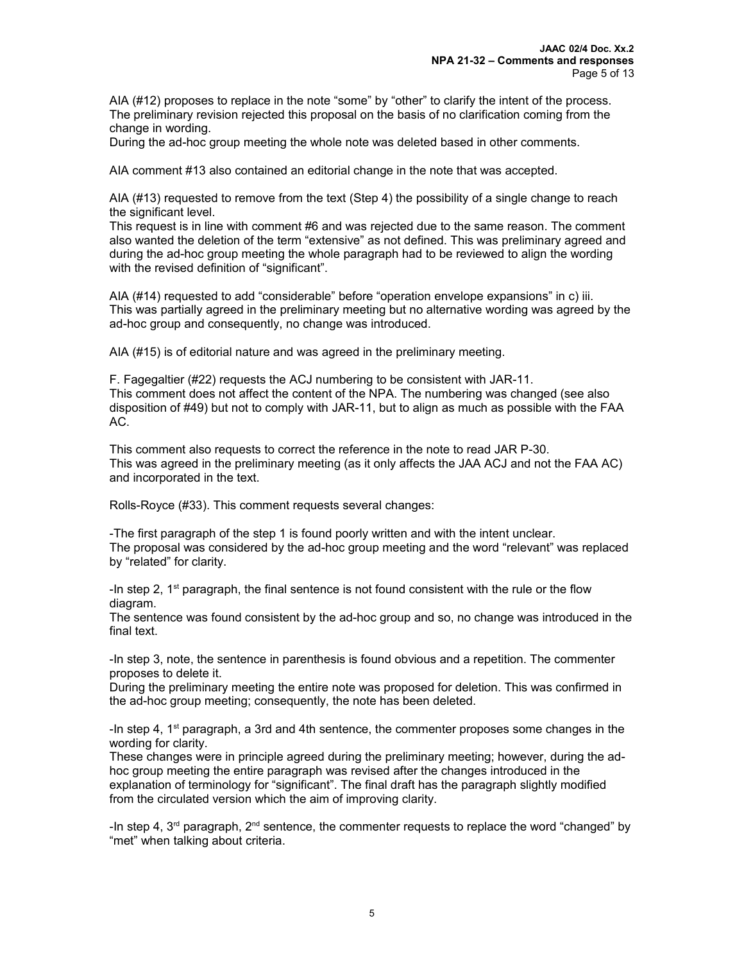AIA (#12) proposes to replace in the note "some" by "other" to clarify the intent of the process. The preliminary revision rejected this proposal on the basis of no clarification coming from the change in wording.

During the ad-hoc group meeting the whole note was deleted based in other comments.

AIA comment #13 also contained an editorial change in the note that was accepted.

AIA (#13) requested to remove from the text (Step 4) the possibility of a single change to reach the significant level.

This request is in line with comment #6 and was rejected due to the same reason. The comment also wanted the deletion of the term "extensive" as not defined. This was preliminary agreed and during the ad-hoc group meeting the whole paragraph had to be reviewed to align the wording with the revised definition of "significant".

AIA (#14) requested to add "considerable" before "operation envelope expansions" in c) iii. This was partially agreed in the preliminary meeting but no alternative wording was agreed by the ad-hoc group and consequently, no change was introduced.

AIA (#15) is of editorial nature and was agreed in the preliminary meeting.

F. Fagegaltier (#22) requests the ACJ numbering to be consistent with JAR-11. This comment does not affect the content of the NPA. The numbering was changed (see also disposition of #49) but not to comply with JAR-11, but to align as much as possible with the FAA AC.

This comment also requests to correct the reference in the note to read JAR P-30. This was agreed in the preliminary meeting (as it only affects the JAA ACJ and not the FAA AC) and incorporated in the text.

Rolls-Royce (#33). This comment requests several changes:

-The first paragraph of the step 1 is found poorly written and with the intent unclear. The proposal was considered by the ad-hoc group meeting and the word "relevant" was replaced by "related" for clarity.

-In step 2,  $1<sup>st</sup>$  paragraph, the final sentence is not found consistent with the rule or the flow diagram.

The sentence was found consistent by the ad-hoc group and so, no change was introduced in the final text.

-In step 3, note, the sentence in parenthesis is found obvious and a repetition. The commenter proposes to delete it.

During the preliminary meeting the entire note was proposed for deletion. This was confirmed in the ad-hoc group meeting; consequently, the note has been deleted.

-In step 4,  $1<sup>st</sup>$  paragraph, a 3rd and 4th sentence, the commenter proposes some changes in the wording for clarity.

These changes were in principle agreed during the preliminary meeting; however, during the adhoc group meeting the entire paragraph was revised after the changes introduced in the explanation of terminology for "significant". The final draft has the paragraph slightly modified from the circulated version which the aim of improving clarity.

-In step 4,  $3<sup>rd</sup>$  paragraph,  $2<sup>nd</sup>$  sentence, the commenter requests to replace the word "changed" by "met" when talking about criteria.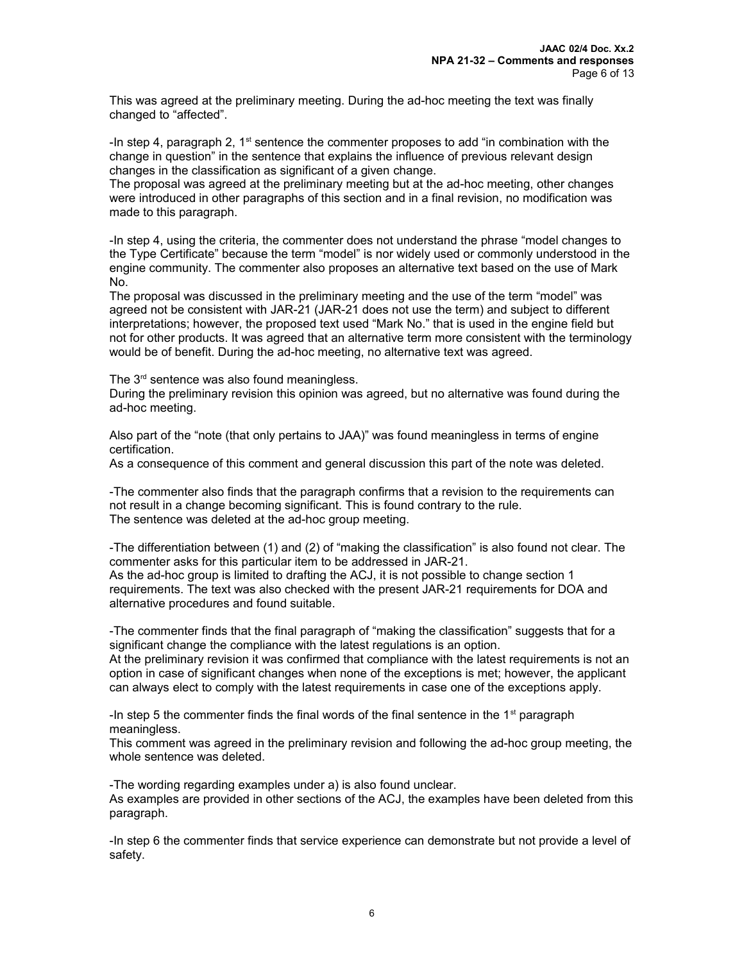This was agreed at the preliminary meeting. During the ad-hoc meeting the text was finally changed to "affected".

-In step 4, paragraph 2,  $1<sup>st</sup>$  sentence the commenter proposes to add "in combination with the change in question" in the sentence that explains the influence of previous relevant design changes in the classification as significant of a given change.

The proposal was agreed at the preliminary meeting but at the ad-hoc meeting, other changes were introduced in other paragraphs of this section and in a final revision, no modification was made to this paragraph.

-In step 4, using the criteria, the commenter does not understand the phrase "model changes to the Type Certificate" because the term "model" is nor widely used or commonly understood in the engine community. The commenter also proposes an alternative text based on the use of Mark No.

The proposal was discussed in the preliminary meeting and the use of the term "model" was agreed not be consistent with JAR-21 (JAR-21 does not use the term) and subject to different interpretations; however, the proposed text used "Mark No." that is used in the engine field but not for other products. It was agreed that an alternative term more consistent with the terminology would be of benefit. During the ad-hoc meeting, no alternative text was agreed.

The  $3<sup>rd</sup>$  sentence was also found meaningless.

During the preliminary revision this opinion was agreed, but no alternative was found during the ad-hoc meeting.

Also part of the "note (that only pertains to JAA)" was found meaningless in terms of engine certification.

As a consequence of this comment and general discussion this part of the note was deleted.

-The commenter also finds that the paragraph confirms that a revision to the requirements can not result in a change becoming significant. This is found contrary to the rule. The sentence was deleted at the ad-hoc group meeting.

-The differentiation between (1) and (2) of "making the classification" is also found not clear. The commenter asks for this particular item to be addressed in JAR-21. As the ad-hoc group is limited to drafting the ACJ, it is not possible to change section 1 requirements. The text was also checked with the present JAR-21 requirements for DOA and alternative procedures and found suitable.

-The commenter finds that the final paragraph of "making the classification" suggests that for a significant change the compliance with the latest regulations is an option.

At the preliminary revision it was confirmed that compliance with the latest requirements is not an option in case of significant changes when none of the exceptions is met; however, the applicant can always elect to comply with the latest requirements in case one of the exceptions apply.

-In step 5 the commenter finds the final words of the final sentence in the  $1<sup>st</sup>$  paragraph meaningless.

This comment was agreed in the preliminary revision and following the ad-hoc group meeting, the whole sentence was deleted.

-The wording regarding examples under a) is also found unclear. As examples are provided in other sections of the ACJ, the examples have been deleted from this paragraph.

-In step 6 the commenter finds that service experience can demonstrate but not provide a level of safety.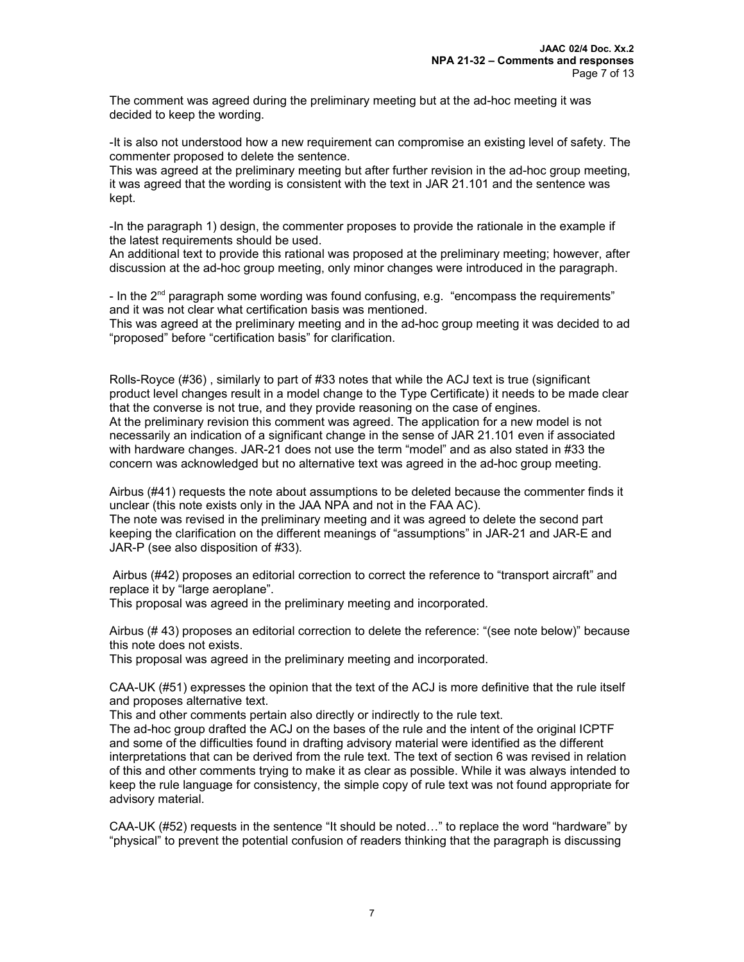The comment was agreed during the preliminary meeting but at the ad-hoc meeting it was decided to keep the wording.

-It is also not understood how a new requirement can compromise an existing level of safety. The commenter proposed to delete the sentence.

This was agreed at the preliminary meeting but after further revision in the ad-hoc group meeting, it was agreed that the wording is consistent with the text in JAR 21.101 and the sentence was kept.

-In the paragraph 1) design, the commenter proposes to provide the rationale in the example if the latest requirements should be used.

An additional text to provide this rational was proposed at the preliminary meeting; however, after discussion at the ad-hoc group meeting, only minor changes were introduced in the paragraph.

- In the  $2<sup>nd</sup>$  paragraph some wording was found confusing, e.g. "encompass the requirements" and it was not clear what certification basis was mentioned.

This was agreed at the preliminary meeting and in the ad-hoc group meeting it was decided to ad "proposed" before "certification basis" for clarification.

Rolls-Royce (#36) , similarly to part of #33 notes that while the ACJ text is true (significant product level changes result in a model change to the Type Certificate) it needs to be made clear that the converse is not true, and they provide reasoning on the case of engines. At the preliminary revision this comment was agreed. The application for a new model is not necessarily an indication of a significant change in the sense of JAR 21.101 even if associated with hardware changes. JAR-21 does not use the term "model" and as also stated in #33 the concern was acknowledged but no alternative text was agreed in the ad-hoc group meeting.

Airbus (#41) requests the note about assumptions to be deleted because the commenter finds it unclear (this note exists only in the JAA NPA and not in the FAA AC).

The note was revised in the preliminary meeting and it was agreed to delete the second part keeping the clarification on the different meanings of "assumptions" in JAR-21 and JAR-E and JAR-P (see also disposition of #33).

Airbus (#42) proposes an editorial correction to correct the reference to "transport aircraft" and replace it by "large aeroplane".

This proposal was agreed in the preliminary meeting and incorporated.

Airbus (# 43) proposes an editorial correction to delete the reference: "(see note below)" because this note does not exists.

This proposal was agreed in the preliminary meeting and incorporated.

CAA-UK (#51) expresses the opinion that the text of the ACJ is more definitive that the rule itself and proposes alternative text.

This and other comments pertain also directly or indirectly to the rule text.

The ad-hoc group drafted the ACJ on the bases of the rule and the intent of the original ICPTF and some of the difficulties found in drafting advisory material were identified as the different interpretations that can be derived from the rule text. The text of section 6 was revised in relation of this and other comments trying to make it as clear as possible. While it was always intended to keep the rule language for consistency, the simple copy of rule text was not found appropriate for advisory material.

CAA-UK (#52) requests in the sentence "It should be noted…" to replace the word "hardware" by "physical" to prevent the potential confusion of readers thinking that the paragraph is discussing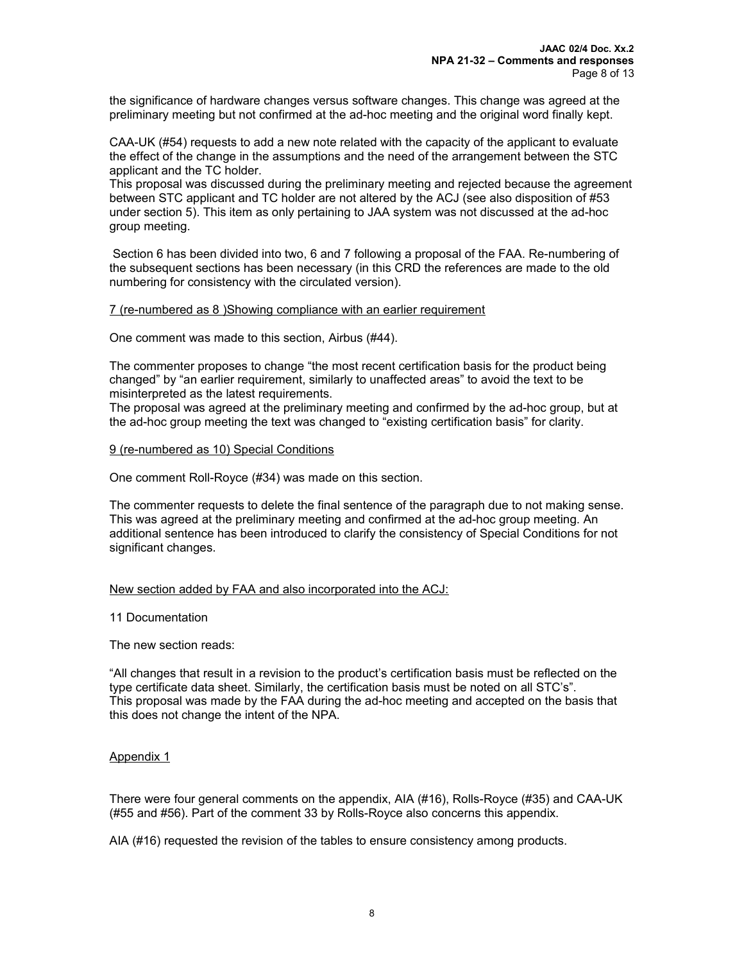the significance of hardware changes versus software changes. This change was agreed at the preliminary meeting but not confirmed at the ad-hoc meeting and the original word finally kept.

CAA-UK (#54) requests to add a new note related with the capacity of the applicant to evaluate the effect of the change in the assumptions and the need of the arrangement between the STC applicant and the TC holder.

This proposal was discussed during the preliminary meeting and rejected because the agreement between STC applicant and TC holder are not altered by the ACJ (see also disposition of #53 under section 5). This item as only pertaining to JAA system was not discussed at the ad-hoc group meeting.

Section 6 has been divided into two, 6 and 7 following a proposal of the FAA. Re-numbering of the subsequent sections has been necessary (in this CRD the references are made to the old numbering for consistency with the circulated version).

#### 7 (re-numbered as 8 )Showing compliance with an earlier requirement

One comment was made to this section, Airbus (#44).

The commenter proposes to change "the most recent certification basis for the product being changed" by "an earlier requirement, similarly to unaffected areas" to avoid the text to be misinterpreted as the latest requirements.

The proposal was agreed at the preliminary meeting and confirmed by the ad-hoc group, but at the ad-hoc group meeting the text was changed to "existing certification basis" for clarity.

#### 9 (re-numbered as 10) Special Conditions

One comment Roll-Royce (#34) was made on this section.

The commenter requests to delete the final sentence of the paragraph due to not making sense. This was agreed at the preliminary meeting and confirmed at the ad-hoc group meeting. An additional sentence has been introduced to clarify the consistency of Special Conditions for not significant changes.

## New section added by FAA and also incorporated into the ACJ:

#### 11 Documentation

The new section reads:

"All changes that result in a revision to the product's certification basis must be reflected on the type certificate data sheet. Similarly, the certification basis must be noted on all STC's". This proposal was made by the FAA during the ad-hoc meeting and accepted on the basis that this does not change the intent of the NPA.

## Appendix 1

There were four general comments on the appendix, AIA (#16), Rolls-Royce (#35) and CAA-UK (#55 and #56). Part of the comment 33 by Rolls-Royce also concerns this appendix.

AIA (#16) requested the revision of the tables to ensure consistency among products.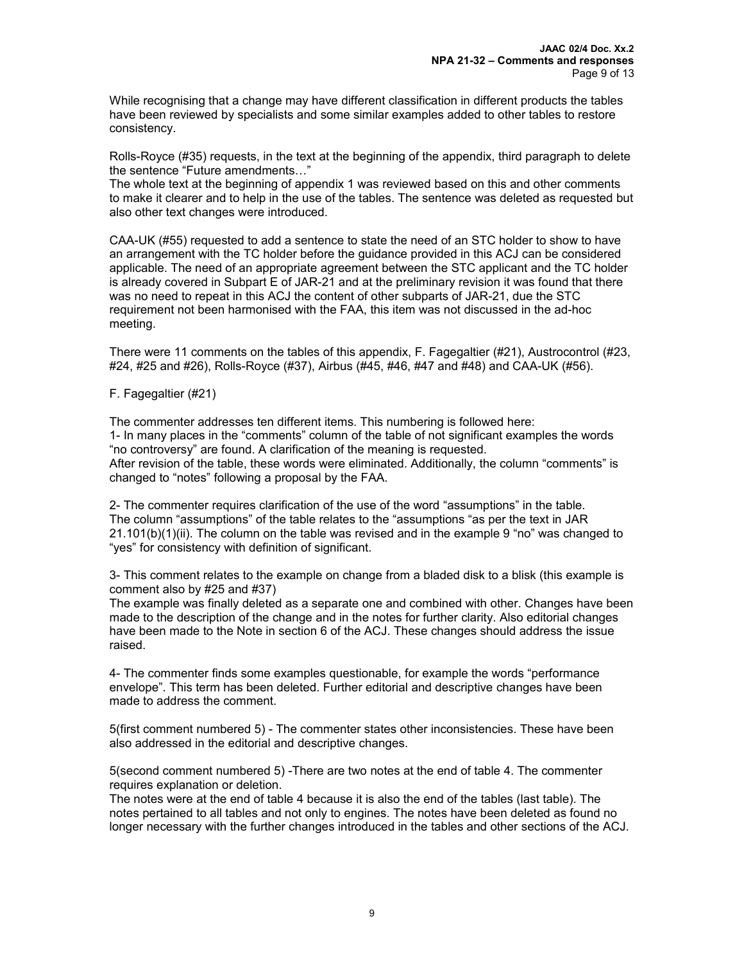While recognising that a change may have different classification in different products the tables have been reviewed by specialists and some similar examples added to other tables to restore consistency.

Rolls-Royce (#35) requests, in the text at the beginning of the appendix, third paragraph to delete the sentence "Future amendments…"

The whole text at the beginning of appendix 1 was reviewed based on this and other comments to make it clearer and to help in the use of the tables. The sentence was deleted as requested but also other text changes were introduced.

CAA-UK (#55) requested to add a sentence to state the need of an STC holder to show to have an arrangement with the TC holder before the guidance provided in this ACJ can be considered applicable. The need of an appropriate agreement between the STC applicant and the TC holder is already covered in Subpart E of JAR-21 and at the preliminary revision it was found that there was no need to repeat in this ACJ the content of other subparts of JAR-21, due the STC requirement not been harmonised with the FAA, this item was not discussed in the ad-hoc meeting.

There were 11 comments on the tables of this appendix, F. Fagegaltier (#21), Austrocontrol (#23, #24, #25 and #26), Rolls-Royce (#37), Airbus (#45, #46, #47 and #48) and CAA-UK (#56).

F. Fagegaltier (#21)

The commenter addresses ten different items. This numbering is followed here: 1- In many places in the "comments" column of the table of not significant examples the words "no controversy" are found. A clarification of the meaning is requested. After revision of the table, these words were eliminated. Additionally, the column "comments" is changed to "notes" following a proposal by the FAA.

2- The commenter requires clarification of the use of the word "assumptions" in the table. The column "assumptions" of the table relates to the "assumptions "as per the text in JAR  $21.101(b)(1)(ii)$ . The column on the table was revised and in the example 9 "no" was changed to "yes" for consistency with definition of significant.

3- This comment relates to the example on change from a bladed disk to a blisk (this example is comment also by #25 and #37)

The example was finally deleted as a separate one and combined with other. Changes have been made to the description of the change and in the notes for further clarity. Also editorial changes have been made to the Note in section 6 of the ACJ. These changes should address the issue raised.

4- The commenter finds some examples questionable, for example the words "performance envelope". This term has been deleted. Further editorial and descriptive changes have been made to address the comment.

5(first comment numbered 5) - The commenter states other inconsistencies. These have been also addressed in the editorial and descriptive changes.

5(second comment numbered 5) -There are two notes at the end of table 4. The commenter requires explanation or deletion.

The notes were at the end of table 4 because it is also the end of the tables (last table). The notes pertained to all tables and not only to engines. The notes have been deleted as found no longer necessary with the further changes introduced in the tables and other sections of the ACJ.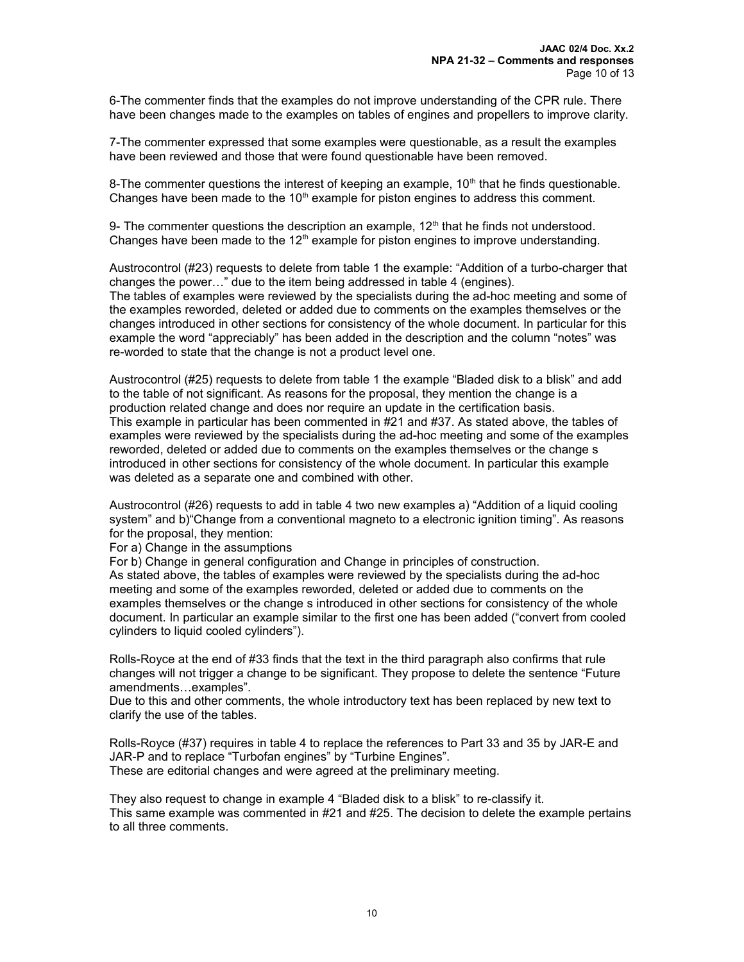6-The commenter finds that the examples do not improve understanding of the CPR rule. There have been changes made to the examples on tables of engines and propellers to improve clarity.

7-The commenter expressed that some examples were questionable, as a result the examples have been reviewed and those that were found questionable have been removed.

8-The commenter questions the interest of keeping an example,  $10<sup>th</sup>$  that he finds questionable. Changes have been made to the  $10<sup>th</sup>$  example for piston engines to address this comment.

9- The commenter questions the description an example,  $12<sup>th</sup>$  that he finds not understood. Changes have been made to the  $12<sup>th</sup>$  example for piston engines to improve understanding.

Austrocontrol (#23) requests to delete from table 1 the example: "Addition of a turbo-charger that changes the power…" due to the item being addressed in table 4 (engines). The tables of examples were reviewed by the specialists during the ad-hoc meeting and some of the examples reworded, deleted or added due to comments on the examples themselves or the changes introduced in other sections for consistency of the whole document. In particular for this example the word "appreciably" has been added in the description and the column "notes" was re-worded to state that the change is not a product level one.

Austrocontrol (#25) requests to delete from table 1 the example "Bladed disk to a blisk" and add to the table of not significant. As reasons for the proposal, they mention the change is a production related change and does nor require an update in the certification basis. This example in particular has been commented in #21 and #37. As stated above, the tables of examples were reviewed by the specialists during the ad-hoc meeting and some of the examples reworded, deleted or added due to comments on the examples themselves or the change s introduced in other sections for consistency of the whole document. In particular this example was deleted as a separate one and combined with other.

Austrocontrol (#26) requests to add in table 4 two new examples a) "Addition of a liquid cooling system" and b)"Change from a conventional magneto to a electronic ignition timing". As reasons for the proposal, they mention:

For a) Change in the assumptions

For b) Change in general configuration and Change in principles of construction.

As stated above, the tables of examples were reviewed by the specialists during the ad-hoc meeting and some of the examples reworded, deleted or added due to comments on the examples themselves or the change s introduced in other sections for consistency of the whole document. In particular an example similar to the first one has been added ("convert from cooled cylinders to liquid cooled cylinders").

Rolls-Royce at the end of #33 finds that the text in the third paragraph also confirms that rule changes will not trigger a change to be significant. They propose to delete the sentence "Future amendments…examples".

Due to this and other comments, the whole introductory text has been replaced by new text to clarify the use of the tables.

Rolls-Royce (#37) requires in table 4 to replace the references to Part 33 and 35 by JAR-E and JAR-P and to replace "Turbofan engines" by "Turbine Engines". These are editorial changes and were agreed at the preliminary meeting.

They also request to change in example 4 "Bladed disk to a blisk" to re-classify it. This same example was commented in #21 and #25. The decision to delete the example pertains to all three comments.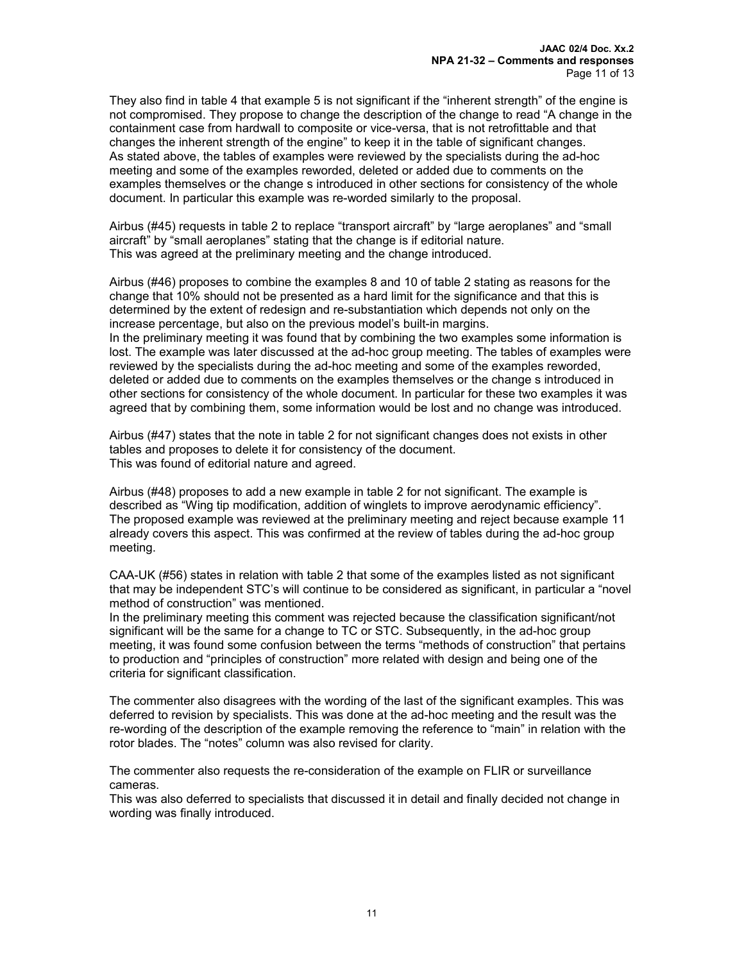They also find in table 4 that example 5 is not significant if the "inherent strength" of the engine is not compromised. They propose to change the description of the change to read "A change in the containment case from hardwall to composite or vice-versa, that is not retrofittable and that changes the inherent strength of the engine" to keep it in the table of significant changes. As stated above, the tables of examples were reviewed by the specialists during the ad-hoc meeting and some of the examples reworded, deleted or added due to comments on the examples themselves or the change s introduced in other sections for consistency of the whole document. In particular this example was re-worded similarly to the proposal.

Airbus (#45) requests in table 2 to replace "transport aircraft" by "large aeroplanes" and "small aircraft" by "small aeroplanes" stating that the change is if editorial nature. This was agreed at the preliminary meeting and the change introduced.

Airbus (#46) proposes to combine the examples 8 and 10 of table 2 stating as reasons for the change that 10% should not be presented as a hard limit for the significance and that this is determined by the extent of redesign and re-substantiation which depends not only on the increase percentage, but also on the previous model's built-in margins.

In the preliminary meeting it was found that by combining the two examples some information is lost. The example was later discussed at the ad-hoc group meeting. The tables of examples were reviewed by the specialists during the ad-hoc meeting and some of the examples reworded, deleted or added due to comments on the examples themselves or the change s introduced in other sections for consistency of the whole document. In particular for these two examples it was agreed that by combining them, some information would be lost and no change was introduced.

Airbus (#47) states that the note in table 2 for not significant changes does not exists in other tables and proposes to delete it for consistency of the document. This was found of editorial nature and agreed.

Airbus (#48) proposes to add a new example in table 2 for not significant. The example is described as "Wing tip modification, addition of winglets to improve aerodynamic efficiency". The proposed example was reviewed at the preliminary meeting and reject because example 11 already covers this aspect. This was confirmed at the review of tables during the ad-hoc group meeting.

CAA-UK (#56) states in relation with table 2 that some of the examples listed as not significant that may be independent STC's will continue to be considered as significant, in particular a "novel method of construction" was mentioned.

In the preliminary meeting this comment was rejected because the classification significant/not significant will be the same for a change to TC or STC. Subsequently, in the ad-hoc group meeting, it was found some confusion between the terms "methods of construction" that pertains to production and "principles of construction" more related with design and being one of the criteria for significant classification.

The commenter also disagrees with the wording of the last of the significant examples. This was deferred to revision by specialists. This was done at the ad-hoc meeting and the result was the re-wording of the description of the example removing the reference to "main" in relation with the rotor blades. The "notes" column was also revised for clarity.

The commenter also requests the re-consideration of the example on FLIR or surveillance cameras.

This was also deferred to specialists that discussed it in detail and finally decided not change in wording was finally introduced.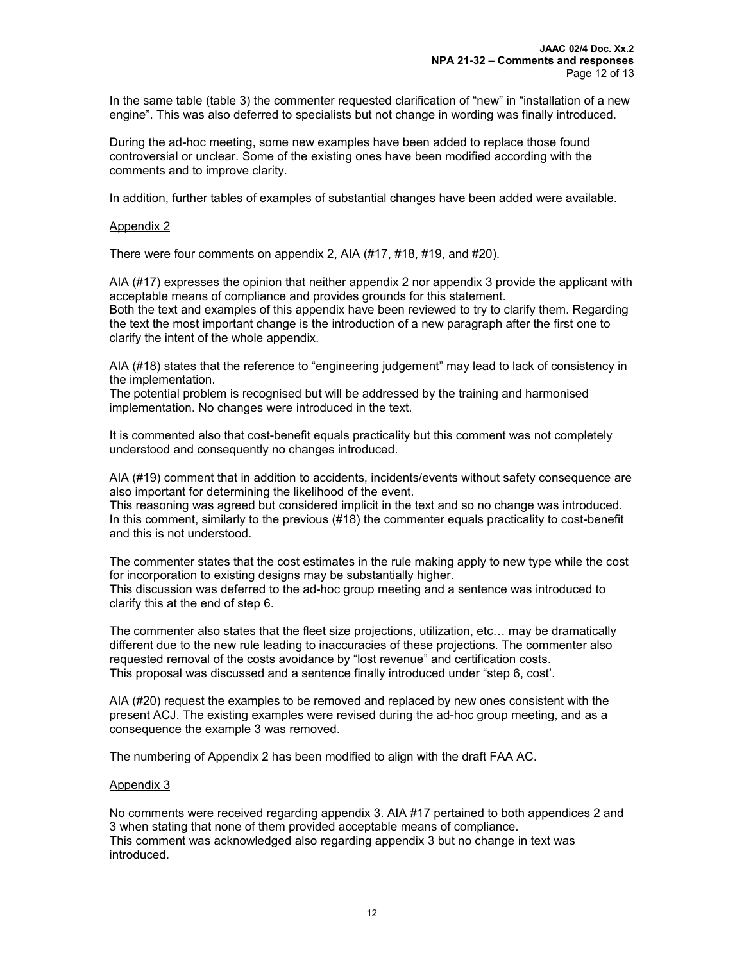In the same table (table 3) the commenter requested clarification of "new" in "installation of a new engine". This was also deferred to specialists but not change in wording was finally introduced.

During the ad-hoc meeting, some new examples have been added to replace those found controversial or unclear. Some of the existing ones have been modified according with the comments and to improve clarity.

In addition, further tables of examples of substantial changes have been added were available.

#### Appendix 2

There were four comments on appendix 2, AIA (#17, #18, #19, and #20).

AIA (#17) expresses the opinion that neither appendix 2 nor appendix 3 provide the applicant with acceptable means of compliance and provides grounds for this statement. Both the text and examples of this appendix have been reviewed to try to clarify them. Regarding the text the most important change is the introduction of a new paragraph after the first one to clarify the intent of the whole appendix.

AIA (#18) states that the reference to "engineering judgement" may lead to lack of consistency in the implementation.

The potential problem is recognised but will be addressed by the training and harmonised implementation. No changes were introduced in the text.

It is commented also that cost-benefit equals practicality but this comment was not completely understood and consequently no changes introduced.

AIA (#19) comment that in addition to accidents, incidents/events without safety consequence are also important for determining the likelihood of the event.

This reasoning was agreed but considered implicit in the text and so no change was introduced. In this comment, similarly to the previous (#18) the commenter equals practicality to cost-benefit and this is not understood.

The commenter states that the cost estimates in the rule making apply to new type while the cost for incorporation to existing designs may be substantially higher. This discussion was deferred to the ad-hoc group meeting and a sentence was introduced to clarify this at the end of step 6.

The commenter also states that the fleet size projections, utilization, etc… may be dramatically different due to the new rule leading to inaccuracies of these projections. The commenter also requested removal of the costs avoidance by "lost revenue" and certification costs. This proposal was discussed and a sentence finally introduced under "step 6, cost'.

AIA (#20) request the examples to be removed and replaced by new ones consistent with the present ACJ. The existing examples were revised during the ad-hoc group meeting, and as a consequence the example 3 was removed.

The numbering of Appendix 2 has been modified to align with the draft FAA AC.

## Appendix 3

No comments were received regarding appendix 3. AIA #17 pertained to both appendices 2 and 3 when stating that none of them provided acceptable means of compliance. This comment was acknowledged also regarding appendix 3 but no change in text was introduced.